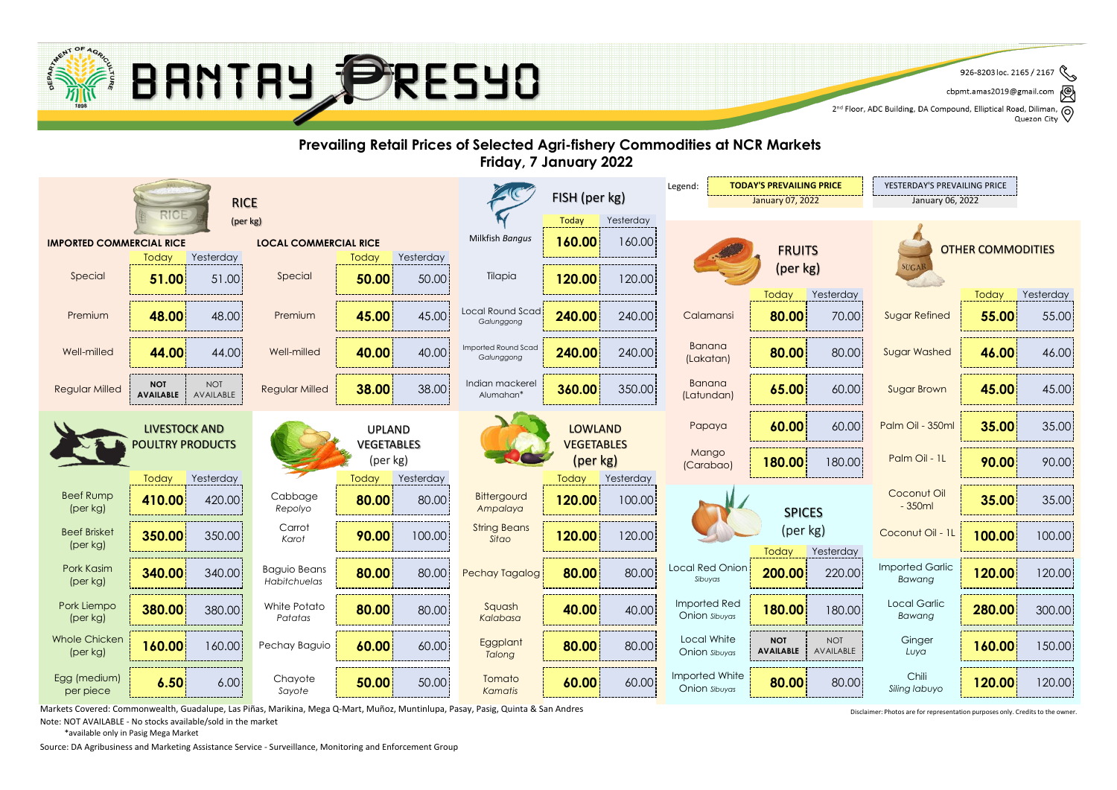

৻៙ cbpmt.amas2019@gmail.com

2<sup>nd</sup> Floor, ADC Building, DA Compound, Elliptical Road, Diliman, Q<br>2<sup>nd</sup> Floor, ADC Building, DA Compound, Elliptical Road, Diliman, Q Quezon City



Markets Covered: Commonwealth, Guadalupe, Las Piñas, Marikina, Mega Q-Mart, Muñoz, Muntinlupa, Pasay, Pasig, Quinta & San Andres

Note: NOT AVAILABLE - No stocks available/sold in the market

\*available only in Pasig Mega Market

Source: DA Agribusiness and Marketing Assistance Service - Surveillance, Monitoring and Enforcement Group

Disclaimer: Photos are for representation purposes only. Credits to the owner.

 $\mathscr{E}$ 926-8203 loc. 2165 / 2167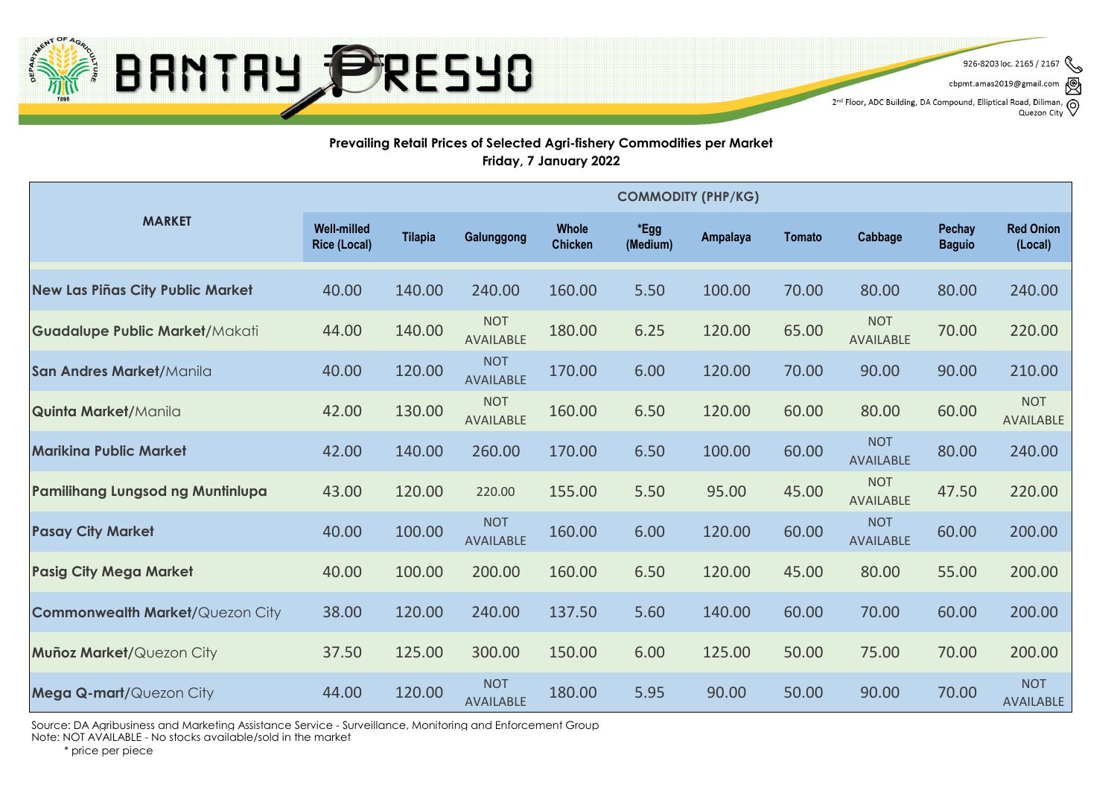

926-8203 loc. 2165 / 2167

cbpmt.amas2019@gmail.com

2<sup>nd</sup> Floor, ADC Building, DA Compound, Elliptical Road, Diliman, (0) Quezon City

## **Prevailing Retail Prices of Selected Agri-fishery Commodities per Market Friday, 7 January 2022**

|                                         | <b>COMMODITY (PHP/KG)</b>                 |                |                                |                                |                  |          |               |                                |                                |                                |
|-----------------------------------------|-------------------------------------------|----------------|--------------------------------|--------------------------------|------------------|----------|---------------|--------------------------------|--------------------------------|--------------------------------|
| <b>MARKET</b>                           | <b>Well-milled</b><br><b>Rice (Local)</b> | <b>Tilapia</b> | Galunggong                     | <b>Whole</b><br><b>Chicken</b> | *Egg<br>(Medium) | Ampalaya | <b>Tomato</b> | Cabbage                        | <b>Pechay</b><br><b>Baguio</b> | <b>Red Onion</b><br>(Local)    |
| New Las Piñas City Public Market        | 40.00                                     | 140.00         | 240.00                         | 160.00                         | 5.50             | 100.00   | 70.00         | 80.00                          | 80.00                          | 240.00                         |
| <b>Guadalupe Public Market/Makati</b>   | 44.00                                     | 140.00         | <b>NOT</b><br>AVAILABLE        | 180.00                         | 6.25             | 120.00   | 65.00         | <b>NOT</b><br>AVAILABLE        | 70.00                          | 220.00                         |
| San Andres Market/Manila                | 40.00                                     | 120.00         | <b>NOT</b><br>AVAILABLE        | 170.00                         | 6.00             | 120.00   | 70.00         | 90.00                          | 90.00                          | 210.00                         |
| <b>Quinta Market/Manila</b>             | 42.00                                     | 130.00         | <b>NOT</b><br>AVAILABLE        | 160.00                         | 6.50             | 120.00   | 60.00         | 80.00                          | 60.00                          | <b>NOT</b><br>AVAILABLE        |
| <b>Marikina Public Market</b>           | 42.00                                     | 140.00         | 260.00                         | 170.00                         | 6.50             | 100.00   | 60.00         | <b>NOT</b><br><b>AVAILABLE</b> | 80.00                          | 240.00                         |
| <b>Pamilihang Lungsod ng Muntinlupa</b> | 43.00                                     | 120.00         | 220.00                         | 155.00                         | 5.50             | 95.00    | 45.00         | <b>NOT</b><br><b>AVAILABLE</b> | 47.50                          | 220.00                         |
| <b>Pasay City Market</b>                | 40.00                                     | 100.00         | <b>NOT</b><br><b>AVAILABLE</b> | 160.00                         | 6.00             | 120.00   | 60.00         | <b>NOT</b><br><b>AVAILABLE</b> | 60.00                          | 200.00                         |
| <b>Pasig City Mega Market</b>           | 40.00                                     | 100.00         | 200.00                         | 160.00                         | 6.50             | 120.00   | 45.00         | 80.00                          | 55.00                          | 200.00                         |
| <b>Commonwealth Market/Quezon City</b>  | 38.00                                     | 120.00         | 240.00                         | 137.50                         | 5.60             | 140.00   | 60.00         | 70.00                          | 60.00                          | 200.00                         |
| <b>Muñoz Market/Quezon City</b>         | 37.50                                     | 125.00         | 300.00                         | 150.00                         | 6.00             | 125.00   | 50.00         | 75.00                          | 70.00                          | 200.00                         |
| Mega Q-mart/Quezon City                 | 44.00                                     | 120.00         | <b>NOT</b><br><b>AVAILABLE</b> | 180.00                         | 5.95             | 90.00    | 50.00         | 90.00                          | 70.00                          | <b>NOT</b><br><b>AVAILABLE</b> |

Source: DA Agribusiness and Marketing Assistance Service - Surveillance, Monitoring and Enforcement Group

Note: NOT AVAILABLE - No stocks available/sold in the market

\* price per piece